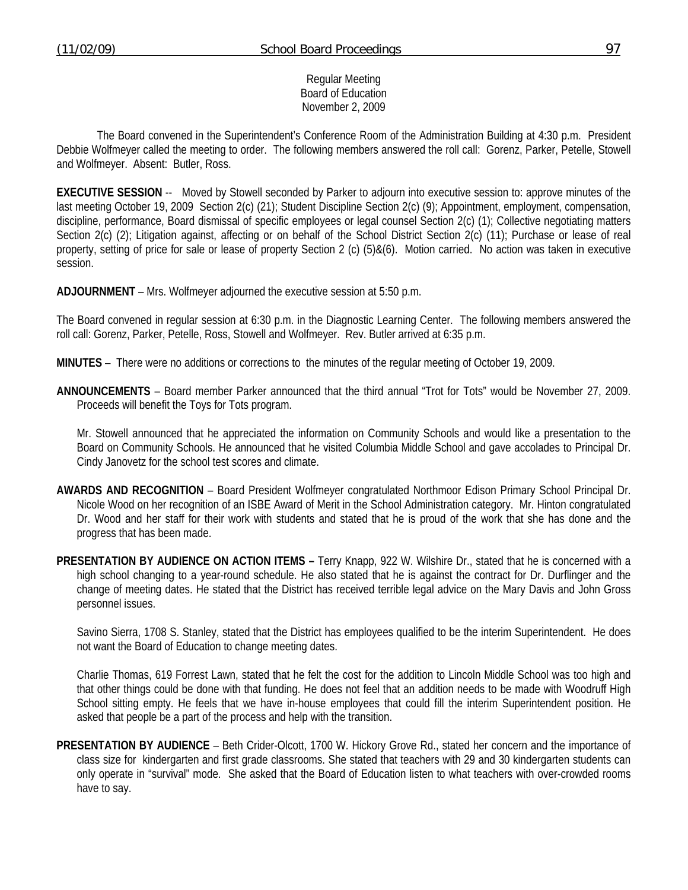#### Regular Meeting Board of Education November 2, 2009

 The Board convened in the Superintendent's Conference Room of the Administration Building at 4:30 p.m. President Debbie Wolfmeyer called the meeting to order. The following members answered the roll call: Gorenz, Parker, Petelle, Stowell and Wolfmeyer. Absent: Butler, Ross.

**EXECUTIVE SESSION** -- Moved by Stowell seconded by Parker to adjourn into executive session to: approve minutes of the last meeting October 19, 2009 Section 2(c) (21); Student Discipline Section 2(c) (9); Appointment, employment, compensation, discipline, performance, Board dismissal of specific employees or legal counsel Section 2(c) (1); Collective negotiating matters Section 2(c) (2); Litigation against, affecting or on behalf of the School District Section 2(c) (11); Purchase or lease of real property, setting of price for sale or lease of property Section 2 (c) (5)&(6). Motion carried. No action was taken in executive session.

**ADJOURNMENT** – Mrs. Wolfmeyer adjourned the executive session at 5:50 p.m.

The Board convened in regular session at 6:30 p.m. in the Diagnostic Learning Center. The following members answered the roll call: Gorenz, Parker, Petelle, Ross, Stowell and Wolfmeyer. Rev. Butler arrived at 6:35 p.m.

**MINUTES** – There were no additions or corrections to the minutes of the regular meeting of October 19, 2009.

**ANNOUNCEMENTS** – Board member Parker announced that the third annual "Trot for Tots" would be November 27, 2009. Proceeds will benefit the Toys for Tots program.

 Mr. Stowell announced that he appreciated the information on Community Schools and would like a presentation to the Board on Community Schools. He announced that he visited Columbia Middle School and gave accolades to Principal Dr. Cindy Janovetz for the school test scores and climate.

- **AWARDS AND RECOGNITION** Board President Wolfmeyer congratulated Northmoor Edison Primary School Principal Dr. Nicole Wood on her recognition of an ISBE Award of Merit in the School Administration category. Mr. Hinton congratulated Dr. Wood and her staff for their work with students and stated that he is proud of the work that she has done and the progress that has been made.
- **PRESENTATION BY AUDIENCE ON ACTION ITEMS** Terry Knapp, 922 W. Wilshire Dr., stated that he is concerned with a high school changing to a year-round schedule. He also stated that he is against the contract for Dr. Durflinger and the change of meeting dates. He stated that the District has received terrible legal advice on the Mary Davis and John Gross personnel issues.

 Savino Sierra, 1708 S. Stanley, stated that the District has employees qualified to be the interim Superintendent. He does not want the Board of Education to change meeting dates.

 Charlie Thomas, 619 Forrest Lawn, stated that he felt the cost for the addition to Lincoln Middle School was too high and that other things could be done with that funding. He does not feel that an addition needs to be made with Woodruff High School sitting empty. He feels that we have in-house employees that could fill the interim Superintendent position. He asked that people be a part of the process and help with the transition.

**PRESENTATION BY AUDIENCE** – Beth Crider-Olcott, 1700 W. Hickory Grove Rd., stated her concern and the importance of class size for kindergarten and first grade classrooms. She stated that teachers with 29 and 30 kindergarten students can only operate in "survival" mode. She asked that the Board of Education listen to what teachers with over-crowded rooms have to say.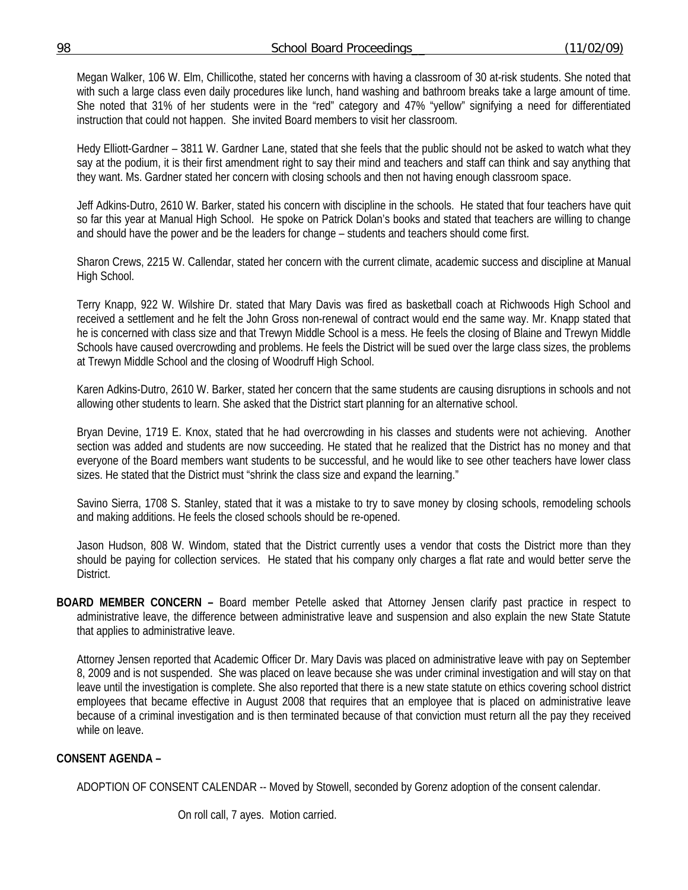Megan Walker, 106 W. Elm, Chillicothe, stated her concerns with having a classroom of 30 at-risk students. She noted that with such a large class even daily procedures like lunch, hand washing and bathroom breaks take a large amount of time. She noted that 31% of her students were in the "red" category and 47% "yellow" signifying a need for differentiated instruction that could not happen. She invited Board members to visit her classroom.

 Hedy Elliott-Gardner – 3811 W. Gardner Lane, stated that she feels that the public should not be asked to watch what they say at the podium, it is their first amendment right to say their mind and teachers and staff can think and say anything that they want. Ms. Gardner stated her concern with closing schools and then not having enough classroom space.

 Jeff Adkins-Dutro, 2610 W. Barker, stated his concern with discipline in the schools. He stated that four teachers have quit so far this year at Manual High School. He spoke on Patrick Dolan's books and stated that teachers are willing to change and should have the power and be the leaders for change – students and teachers should come first.

 Sharon Crews, 2215 W. Callendar, stated her concern with the current climate, academic success and discipline at Manual High School.

 Terry Knapp, 922 W. Wilshire Dr. stated that Mary Davis was fired as basketball coach at Richwoods High School and received a settlement and he felt the John Gross non-renewal of contract would end the same way. Mr. Knapp stated that he is concerned with class size and that Trewyn Middle School is a mess. He feels the closing of Blaine and Trewyn Middle Schools have caused overcrowding and problems. He feels the District will be sued over the large class sizes, the problems at Trewyn Middle School and the closing of Woodruff High School.

 Karen Adkins-Dutro, 2610 W. Barker, stated her concern that the same students are causing disruptions in schools and not allowing other students to learn. She asked that the District start planning for an alternative school.

 Bryan Devine, 1719 E. Knox, stated that he had overcrowding in his classes and students were not achieving. Another section was added and students are now succeeding. He stated that he realized that the District has no money and that everyone of the Board members want students to be successful, and he would like to see other teachers have lower class sizes. He stated that the District must "shrink the class size and expand the learning."

 Savino Sierra, 1708 S. Stanley, stated that it was a mistake to try to save money by closing schools, remodeling schools and making additions. He feels the closed schools should be re-opened.

 Jason Hudson, 808 W. Windom, stated that the District currently uses a vendor that costs the District more than they should be paying for collection services. He stated that his company only charges a flat rate and would better serve the District.

**BOARD MEMBER CONCERN –** Board member Petelle asked that Attorney Jensen clarify past practice in respect to administrative leave, the difference between administrative leave and suspension and also explain the new State Statute that applies to administrative leave.

 Attorney Jensen reported that Academic Officer Dr. Mary Davis was placed on administrative leave with pay on September 8, 2009 and is not suspended. She was placed on leave because she was under criminal investigation and will stay on that leave until the investigation is complete. She also reported that there is a new state statute on ethics covering school district employees that became effective in August 2008 that requires that an employee that is placed on administrative leave because of a criminal investigation and is then terminated because of that conviction must return all the pay they received while on leave.

# **CONSENT AGENDA –**

ADOPTION OF CONSENT CALENDAR -- Moved by Stowell, seconded by Gorenz adoption of the consent calendar.

On roll call, 7 ayes. Motion carried.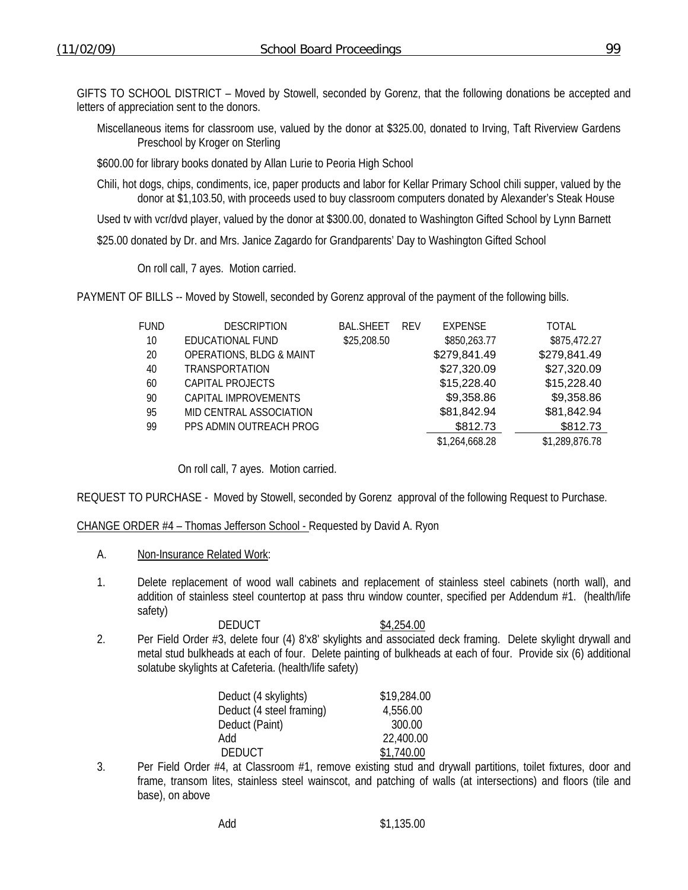GIFTS TO SCHOOL DISTRICT – Moved by Stowell, seconded by Gorenz, that the following donations be accepted and letters of appreciation sent to the donors.

Miscellaneous items for classroom use, valued by the donor at \$325.00, donated to Irving, Taft Riverview Gardens Preschool by Kroger on Sterling

\$600.00 for library books donated by Allan Lurie to Peoria High School

Chili, hot dogs, chips, condiments, ice, paper products and labor for Kellar Primary School chili supper, valued by the donor at \$1,103.50, with proceeds used to buy classroom computers donated by Alexander's Steak House

Used tv with vcr/dvd player, valued by the donor at \$300.00, donated to Washington Gifted School by Lynn Barnett

\$25.00 donated by Dr. and Mrs. Janice Zagardo for Grandparents' Day to Washington Gifted School

On roll call, 7 ayes. Motion carried.

PAYMENT OF BILLS -- Moved by Stowell, seconded by Gorenz approval of the payment of the following bills.

| FUND | <b>DESCRIPTION</b>                  | <b>BAL.SHEET</b> | <b>RFV</b> | <b>EXPENSE</b> | TOTAL          |
|------|-------------------------------------|------------------|------------|----------------|----------------|
| 10   | EDUCATIONAL FUND                    | \$25,208.50      |            | \$850,263.77   | \$875,472.27   |
| 20   | <b>OPERATIONS, BLDG &amp; MAINT</b> |                  |            | \$279,841.49   | \$279,841.49   |
| 40   | <b>TRANSPORTATION</b>               |                  |            | \$27,320.09    | \$27,320.09    |
| 60   | CAPITAL PROJECTS                    |                  |            | \$15,228.40    | \$15,228.40    |
| 90   | CAPITAL IMPROVEMENTS                |                  |            | \$9,358.86     | \$9,358.86     |
| 95   | MID CENTRAL ASSOCIATION             |                  |            | \$81,842.94    | \$81,842.94    |
| 99   | PPS ADMIN OUTREACH PROG             |                  |            | \$812.73       | \$812.73       |
|      |                                     |                  |            | \$1,264,668.28 | \$1,289,876.78 |

On roll call, 7 ayes. Motion carried.

REQUEST TO PURCHASE - Moved by Stowell, seconded by Gorenz approval of the following Request to Purchase.

CHANGE ORDER #4 – Thomas Jefferson School - Requested by David A. Ryon

- A. Non-Insurance Related Work:
- 1. Delete replacement of wood wall cabinets and replacement of stainless steel cabinets (north wall), and addition of stainless steel countertop at pass thru window counter, specified per Addendum #1. (health/life safety) DEDUCT \$4,254.00
- 2. Per Field Order #3, delete four (4) 8'x8' skylights and associated deck framing. Delete skylight drywall and metal stud bulkheads at each of four. Delete painting of bulkheads at each of four. Provide six (6) additional solatube skylights at Cafeteria. (health/life safety)

| Deduct (4 skylights)     | \$19,284.00 |
|--------------------------|-------------|
| Deduct (4 steel framing) | 4,556.00    |
| Deduct (Paint)           | 300.00      |
| hhA                      | 22,400.00   |
| <b>DEDUCT</b>            | \$1,740.00  |

3. Per Field Order #4, at Classroom #1, remove existing stud and drywall partitions, toilet fixtures, door and frame, transom lites, stainless steel wainscot, and patching of walls (at intersections) and floors (tile and base), on above

Add  $$1,135.00$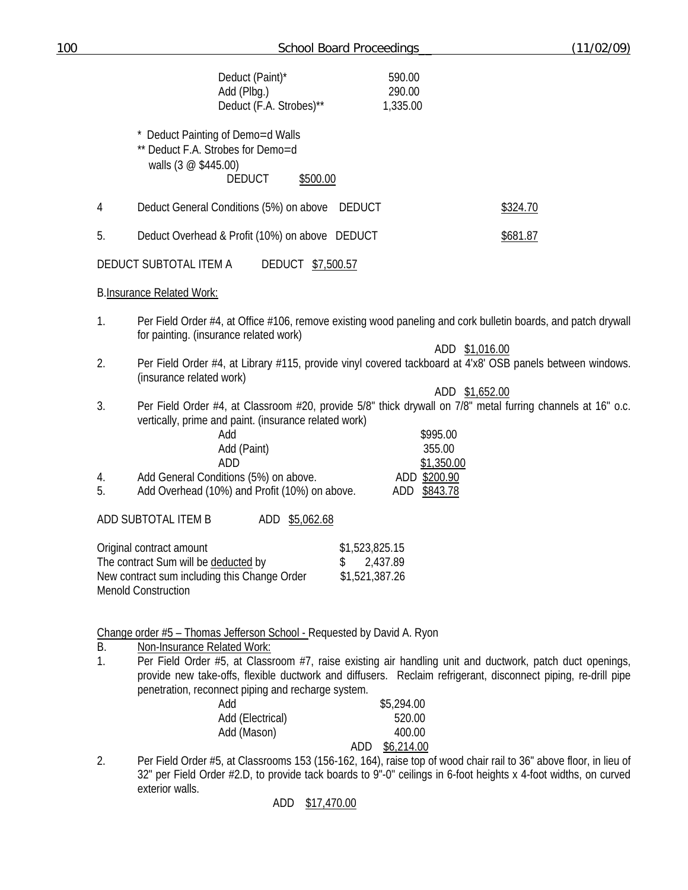|                 | <b>School Board Proceedings</b>                                                                                                                                                                                                                                                                                                                                                                                                                                             | (11/02/09) |
|-----------------|-----------------------------------------------------------------------------------------------------------------------------------------------------------------------------------------------------------------------------------------------------------------------------------------------------------------------------------------------------------------------------------------------------------------------------------------------------------------------------|------------|
|                 | Deduct (Paint)*<br>590.00<br>Add (Plbg.)<br>290.00<br>Deduct (F.A. Strobes)**<br>1,335.00                                                                                                                                                                                                                                                                                                                                                                                   |            |
|                 | Deduct Painting of Demo=d Walls<br>** Deduct F.A. Strobes for Demo=d<br>walls $(3 \text{ } \textcircled{ } 445.00)$<br><b>DEDUCT</b><br>\$500.00                                                                                                                                                                                                                                                                                                                            |            |
| 4               | Deduct General Conditions (5%) on above<br><b>DEDUCT</b><br>\$324.70                                                                                                                                                                                                                                                                                                                                                                                                        |            |
| 5.              | Deduct Overhead & Profit (10%) on above DEDUCT<br>\$681.87                                                                                                                                                                                                                                                                                                                                                                                                                  |            |
|                 | DEDUCT SUBTOTAL ITEM A<br>DEDUCT \$7,500.57                                                                                                                                                                                                                                                                                                                                                                                                                                 |            |
|                 | <b>B.Insurance Related Work:</b>                                                                                                                                                                                                                                                                                                                                                                                                                                            |            |
| 1.              | Per Field Order #4, at Office #106, remove existing wood paneling and cork bulletin boards, and patch drywall<br>for painting. (insurance related work)<br>ADD \$1,016.00                                                                                                                                                                                                                                                                                                   |            |
| 2.              | Per Field Order #4, at Library #115, provide vinyl covered tackboard at 4'x8' OSB panels between windows.<br>(insurance related work)                                                                                                                                                                                                                                                                                                                                       |            |
| 3.              | ADD \$1,652.00<br>Per Field Order #4, at Classroom #20, provide 5/8" thick drywall on 7/8" metal furring channels at 16" o.c.<br>vertically, prime and paint. (insurance related work)<br>\$995.00<br>Add<br>355.00<br>Add (Paint)<br><b>ADD</b><br>\$1,350.00                                                                                                                                                                                                              |            |
| 4.<br>5.        | Add General Conditions (5%) on above.<br>ADD \$200.90<br>Add Overhead (10%) and Profit (10%) on above.<br>ADD \$843.78                                                                                                                                                                                                                                                                                                                                                      |            |
|                 | ADD SUBTOTAL ITEM B<br>ADD \$5,062.68                                                                                                                                                                                                                                                                                                                                                                                                                                       |            |
|                 | \$1,523,825.15<br>Original contract amount<br>The contract Sum will be deducted by<br>2,437.89<br>New contract sum including this Change Order<br>\$1,521,387.26<br><b>Menold Construction</b>                                                                                                                                                                                                                                                                              |            |
| <b>B.</b><br>1. | Change order #5 - Thomas Jefferson School - Requested by David A. Ryon<br>Non-Insurance Related Work:<br>Per Field Order #5, at Classroom #7, raise existing air handling unit and ductwork, patch duct openings,<br>provide new take-offs, flexible ductwork and diffusers. Reclaim refrigerant, disconnect piping, re-drill pipe<br>penetration, reconnect piping and recharge system.<br>\$5,294.00<br>Add<br>Add (Electrical)<br>520.00<br>Add (Mason)<br>400.00<br>ADD |            |
| 2.              | \$6,214.00<br>Per Field Order #5, at Classrooms 153 (156-162, 164), raise top of wood chair rail to 36" above floor, in lieu of<br>32" per Field Order #2.D, to provide tack boards to 9"-0" ceilings in 6-foot heights x 4-foot widths, on curved<br>exterior walls.                                                                                                                                                                                                       |            |

ADD \$17,470.00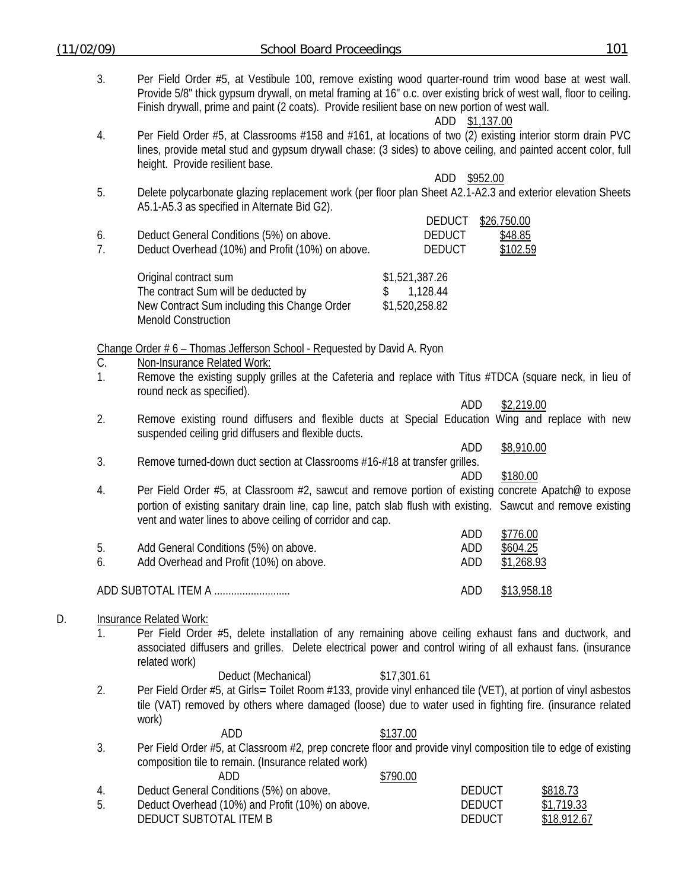3. Per Field Order #5, at Vestibule 100, remove existing wood quarter-round trim wood base at west wall. Provide 5/8" thick gypsum drywall, on metal framing at 16" o.c. over existing brick of west wall, floor to ceiling. Finish drywall, prime and paint (2 coats). Provide resilient base on new portion of west wall.

ADD \$952.00

- 4. Per Field Order #5, at Classrooms #158 and #161, at locations of two (2) existing interior storm drain PVC lines, provide metal stud and gypsum drywall chase: (3 sides) to above ceiling, and painted accent color, full height. Provide resilient base.
- 5. Delete polycarbonate glazing replacement work (per floor plan Sheet A2.1-A2.3 and exterior elevation Sheets A5.1-A5.3 as specified in Alternate Bid G2).

|                                 |                                                  | <b>DEDUCT</b>  | \$26,750.00 |
|---------------------------------|--------------------------------------------------|----------------|-------------|
| 6.                              | Deduct General Conditions (5%) on above.         | <b>DEDUCT</b>  | \$48.85     |
| $7_{\scriptscriptstyle{\circ}}$ | Deduct Overhead (10%) and Profit (10%) on above. | <b>DEDUCT</b>  | \$102.59    |
|                                 | Original contract sum                            | \$1,521,387.26 |             |
|                                 | The contract Sum will be deducted by             | 1.128.44       |             |
|                                 | New Contract Sum including this Change Order     | \$1,520,258.82 |             |

Change Order # 6 – Thomas Jefferson School - Requested by David A. Ryon

C. Non-Insurance Related Work:

Menold Construction

1. Remove the existing supply grilles at the Cafeteria and replace with Titus #TDCA (square neck, in lieu of round neck as specified).

|                                                      |  |  |  |  | ADD.                                                                                              | \$2,219.00 |  |  |
|------------------------------------------------------|--|--|--|--|---------------------------------------------------------------------------------------------------|------------|--|--|
|                                                      |  |  |  |  | Remove existing round diffusers and flexible ducts at Special Education Wing and replace with new |            |  |  |
| suspended ceiling grid diffusers and flexible ducts. |  |  |  |  |                                                                                                   |            |  |  |
|                                                      |  |  |  |  | ADD                                                                                               | \$8,910.00 |  |  |

3. Remove turned-down duct section at Classrooms #16-#18 at transfer grilles.

ADD \$180.00

4. Per Field Order #5, at Classroom #2, sawcut and remove portion of existing concrete Apatch@ to expose portion of existing sanitary drain line, cap line, patch slab flush with existing. Sawcut and remove existing vent and water lines to above ceiling of corridor and cap.

| 5.<br>6. | Add General Conditions (5%) on above.<br>Add Overhead and Profit (10%) on above. | ADD<br>ADD<br>ADD. | \$776.00<br>\$604.25<br>\$1,268.93 |
|----------|----------------------------------------------------------------------------------|--------------------|------------------------------------|
|          | ADD SUBTOTAL ITEM A                                                              | ADD.               | \$13,958.18                        |

# D. **Insurance Related Work:**

- 1. Per Field Order #5, delete installation of any remaining above ceiling exhaust fans and ductwork, and associated diffusers and grilles. Delete electrical power and control wiring of all exhaust fans. (insurance related work)
- Deduct (Mechanical) \$17,301.61 2. Per Field Order #5, at Girls= Toilet Room #133, provide vinyl enhanced tile (VET), at portion of vinyl asbestos tile (VAT) removed by others where damaged (loose) due to water used in fighting fire. (insurance related work)

and the state of the ADD state  $\frac{$137.00}{2}$ 

3. Per Field Order #5, at Classroom #2, prep concrete floor and provide vinyl composition tile to edge of existing composition tile to remain. (Insurance related work)

|                                         | \$790.00 |
|-----------------------------------------|----------|
| Deduct General Conditions (5%) on above |          |

|    | Deduct General Conditions (5%) on above.         | <b>DEDUCT</b> | \$818.73    |
|----|--------------------------------------------------|---------------|-------------|
| ხ. | Deduct Overhead (10%) and Profit (10%) on above. | DEDUCT        | \$1,719.33  |
|    | DEDUCT SUBTOTAL ITEM B                           | DEDUCT        | \$18,912.67 |

ADD \$1,137.00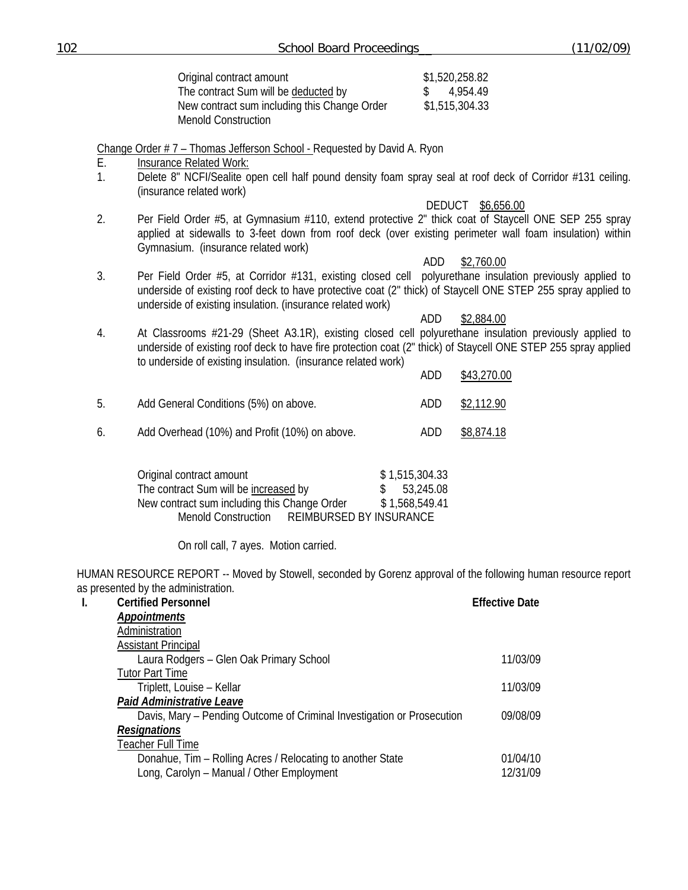| Original contract amount                     | \$1,520,258.82 |
|----------------------------------------------|----------------|
| The contract Sum will be deducted by         | 4.954.49       |
| New contract sum including this Change Order | \$1,515,304.33 |
| Menold Construction                          |                |

Change Order # 7 – Thomas Jefferson School - Requested by David A. Ryon

- E. Insurance Related Work:
- 1. Delete 8" NCFI/Sealite open cell half pound density foam spray seal at roof deck of Corridor #131 ceiling. (insurance related work)

DEDUCT \$6,656.00

- 2. Per Field Order #5, at Gymnasium #110, extend protective 2" thick coat of Staycell ONE SEP 255 spray applied at sidewalls to 3-feet down from roof deck (over existing perimeter wall foam insulation) within Gymnasium. (insurance related work)
- ADD \$2,760.00 3. Per Field Order #5, at Corridor #131, existing closed cell polyurethane insulation previously applied to underside of existing roof deck to have protective coat (2" thick) of Staycell ONE STEP 255 spray applied to underside of existing insulation. (insurance related work)

ADD \$2,884.00

4. At Classrooms #21-29 (Sheet A3.1R), existing closed cell polyurethane insulation previously applied to underside of existing roof deck to have fire protection coat (2" thick) of Staycell ONE STEP 255 spray applied to underside of existing insulation. (insurance related work) ADD \$43,270.00

|    |                                               | <b>ADD</b> | 443,210.00 |
|----|-----------------------------------------------|------------|------------|
| 5. | Add General Conditions (5%) on above.         | ADD.       | \$2,112.90 |
| 6. | Add Overhead (10%) and Profit (10%) on above. | ADD.       | \$8,874.18 |

| Original contract amount                     |                         | \$1,515,304.33 |
|----------------------------------------------|-------------------------|----------------|
| The contract Sum will be increased by        |                         | \$53,245.08    |
| New contract sum including this Change Order |                         | \$1,568,549.41 |
| Menold Construction                          | REIMBURSED BY INSURANCE |                |

On roll call, 7 ayes. Motion carried.

HUMAN RESOURCE REPORT -- Moved by Stowell, seconded by Gorenz approval of the following human resource report as presented by the administration.

|    | <b>3 PICSCHICU DY THE QUITIFIEST QUOT.</b>                             |                       |
|----|------------------------------------------------------------------------|-----------------------|
| I. | <b>Certified Personnel</b>                                             | <b>Effective Date</b> |
|    | <b>Appointments</b>                                                    |                       |
|    | Administration                                                         |                       |
|    | <b>Assistant Principal</b>                                             |                       |
|    | Laura Rodgers - Glen Oak Primary School                                | 11/03/09              |
|    | <b>Tutor Part Time</b>                                                 |                       |
|    | Triplett, Louise - Kellar                                              | 11/03/09              |
|    | Paid Administrative Leave                                              |                       |
|    | Davis, Mary – Pending Outcome of Criminal Investigation or Prosecution | 09/08/09              |
|    | <b>Resignations</b>                                                    |                       |
|    | <b>Teacher Full Time</b>                                               |                       |
|    | Donahue, Tim – Rolling Acres / Relocating to another State             | 01/04/10              |
|    | Long, Carolyn - Manual / Other Employment                              | 12/31/09              |
|    |                                                                        |                       |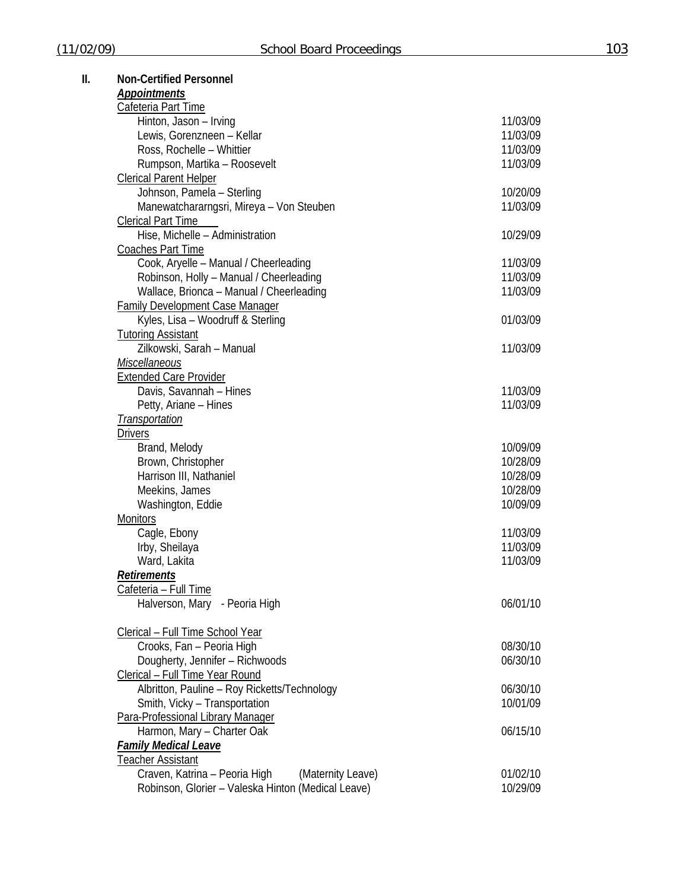| <b>Non-Certified Personnel</b>                     |          |
|----------------------------------------------------|----------|
| Appointments                                       |          |
| Cafeteria Part Time                                |          |
| Hinton, Jason - Irving                             | 11/03/09 |
| Lewis, Gorenzneen - Kellar                         | 11/03/09 |
| Ross, Rochelle - Whittier                          | 11/03/09 |
| Rumpson, Martika - Roosevelt                       | 11/03/09 |
| <b>Clerical Parent Helper</b>                      |          |
| Johnson, Pamela - Sterling                         | 10/20/09 |
| Manewatchararngsri, Mireya - Von Steuben           | 11/03/09 |
| <b>Clerical Part Time</b>                          |          |
| Hise, Michelle - Administration                    | 10/29/09 |
|                                                    |          |
| <b>Coaches Part Time</b>                           |          |
| Cook, Aryelle - Manual / Cheerleading              | 11/03/09 |
| Robinson, Holly - Manual / Cheerleading            | 11/03/09 |
| Wallace, Brionca - Manual / Cheerleading           | 11/03/09 |
| <b>Family Development Case Manager</b>             |          |
| Kyles, Lisa - Woodruff & Sterling                  | 01/03/09 |
| <b>Tutoring Assistant</b>                          |          |
| Zilkowski, Sarah - Manual                          | 11/03/09 |
| <b>Miscellaneous</b>                               |          |
| <b>Extended Care Provider</b>                      |          |
| Davis, Savannah - Hines                            | 11/03/09 |
| Petty, Ariane - Hines                              | 11/03/09 |
| Transportation                                     |          |
| <b>Drivers</b>                                     |          |
| Brand, Melody                                      | 10/09/09 |
| Brown, Christopher                                 | 10/28/09 |
| Harrison III, Nathaniel                            | 10/28/09 |
| Meekins, James                                     | 10/28/09 |
| Washington, Eddie                                  | 10/09/09 |
| <b>Monitors</b>                                    |          |
| Cagle, Ebony                                       | 11/03/09 |
| Irby, Sheilaya                                     | 11/03/09 |
| Ward, Lakita                                       | 11/03/09 |
| <b>Retirements</b>                                 |          |
| <u> Cafeteria – Full Time</u>                      |          |
| Halverson, Mary - Peoria High                      | 06/01/10 |
| <u>Clerical - Full Time School Year</u>            |          |
| Crooks, Fan - Peoria High                          | 08/30/10 |
| Dougherty, Jennifer - Richwoods                    | 06/30/10 |
| Clerical - Full Time Year Round                    |          |
| Albritton, Pauline - Roy Ricketts/Technology       | 06/30/10 |
| Smith, Vicky - Transportation                      | 10/01/09 |
| Para-Professional Library Manager                  |          |
| Harmon, Mary - Charter Oak                         | 06/15/10 |
| <b>Family Medical Leave</b>                        |          |
| <u>Teacher Assistant</u>                           |          |
| Craven, Katrina - Peoria High<br>(Maternity Leave) | 01/02/10 |
| Robinson, Glorier - Valeska Hinton (Medical Leave) | 10/29/09 |
|                                                    |          |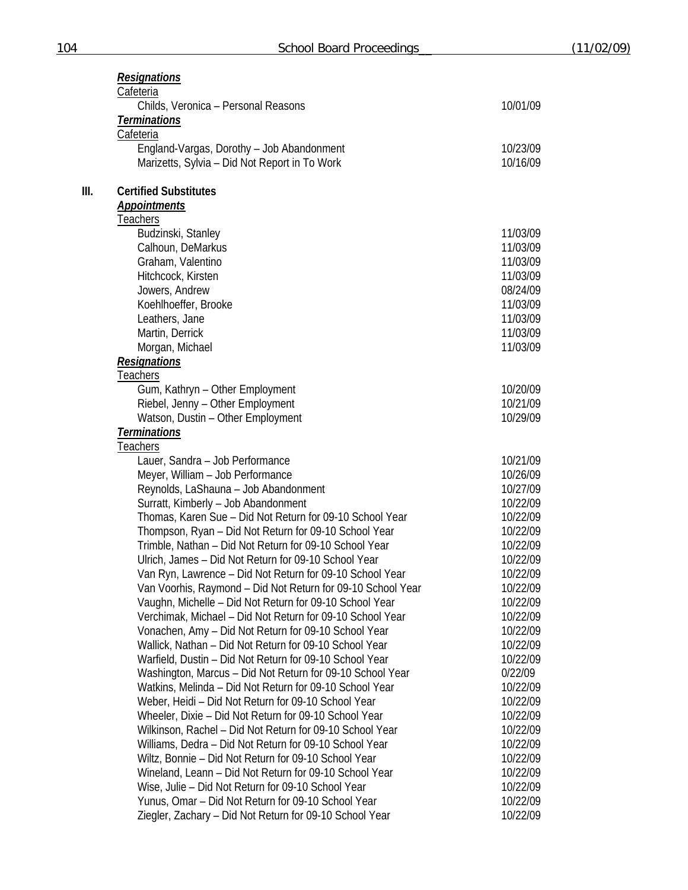|    | <b>Resignations</b>                                                                                               |                      |
|----|-------------------------------------------------------------------------------------------------------------------|----------------------|
|    | <b>Cafeteria</b><br>Childs, Veronica - Personal Reasons                                                           | 10/01/09             |
|    | <b>Terminations</b>                                                                                               |                      |
|    | Cafeteria                                                                                                         |                      |
|    | England-Vargas, Dorothy - Job Abandonment                                                                         | 10/23/09             |
|    | Marizetts, Sylvia - Did Not Report in To Work                                                                     | 10/16/09             |
| Ш. | <b>Certified Substitutes</b>                                                                                      |                      |
|    | <b>Appointments</b>                                                                                               |                      |
|    | <b>Teachers</b>                                                                                                   |                      |
|    | Budzinski, Stanley<br>Calhoun, DeMarkus                                                                           | 11/03/09<br>11/03/09 |
|    | Graham, Valentino                                                                                                 | 11/03/09             |
|    | Hitchcock, Kirsten                                                                                                | 11/03/09             |
|    | Jowers, Andrew                                                                                                    | 08/24/09             |
|    | Koehlhoeffer, Brooke                                                                                              | 11/03/09             |
|    | Leathers, Jane                                                                                                    | 11/03/09             |
|    | Martin, Derrick                                                                                                   | 11/03/09             |
|    | Morgan, Michael                                                                                                   | 11/03/09             |
|    | <b>Resignations</b>                                                                                               |                      |
|    | <u>Teachers</u>                                                                                                   |                      |
|    | Gum, Kathryn - Other Employment                                                                                   | 10/20/09             |
|    | Riebel, Jenny - Other Employment                                                                                  | 10/21/09             |
|    | Watson, Dustin - Other Employment                                                                                 | 10/29/09             |
|    | <b>Terminations</b><br>Teachers                                                                                   |                      |
|    | Lauer, Sandra - Job Performance                                                                                   | 10/21/09             |
|    | Meyer, William - Job Performance                                                                                  | 10/26/09             |
|    | Reynolds, LaShauna - Job Abandonment                                                                              | 10/27/09             |
|    | Surratt, Kimberly - Job Abandonment                                                                               | 10/22/09             |
|    | Thomas, Karen Sue - Did Not Return for 09-10 School Year                                                          | 10/22/09             |
|    | Thompson, Ryan - Did Not Return for 09-10 School Year                                                             | 10/22/09             |
|    | Trimble, Nathan - Did Not Return for 09-10 School Year                                                            | 10/22/09             |
|    | Ulrich, James - Did Not Return for 09-10 School Year                                                              | 10/22/09             |
|    | Van Ryn, Lawrence – Did Not Return for 09-10 School Year                                                          | 10/22/09             |
|    | Van Voorhis, Raymond - Did Not Return for 09-10 School Year                                                       | 10/22/09             |
|    | Vaughn, Michelle - Did Not Return for 09-10 School Year                                                           | 10/22/09             |
|    | Verchimak, Michael - Did Not Return for 09-10 School Year<br>Vonachen, Amy - Did Not Return for 09-10 School Year | 10/22/09<br>10/22/09 |
|    | Wallick, Nathan - Did Not Return for 09-10 School Year                                                            | 10/22/09             |
|    | Warfield, Dustin - Did Not Return for 09-10 School Year                                                           | 10/22/09             |
|    | Washington, Marcus - Did Not Return for 09-10 School Year                                                         | 0/22/09              |
|    | Watkins, Melinda - Did Not Return for 09-10 School Year                                                           | 10/22/09             |
|    | Weber, Heidi - Did Not Return for 09-10 School Year                                                               | 10/22/09             |
|    | Wheeler, Dixie - Did Not Return for 09-10 School Year                                                             | 10/22/09             |
|    | Wilkinson, Rachel - Did Not Return for 09-10 School Year                                                          | 10/22/09             |
|    | Williams, Dedra - Did Not Return for 09-10 School Year                                                            | 10/22/09             |
|    | Wiltz, Bonnie - Did Not Return for 09-10 School Year                                                              | 10/22/09             |
|    | Wineland, Leann - Did Not Return for 09-10 School Year                                                            | 10/22/09             |
|    | Wise, Julie - Did Not Return for 09-10 School Year                                                                | 10/22/09             |
|    | Yunus, Omar - Did Not Return for 09-10 School Year                                                                | 10/22/09             |
|    | Ziegler, Zachary - Did Not Return for 09-10 School Year                                                           | 10/22/09             |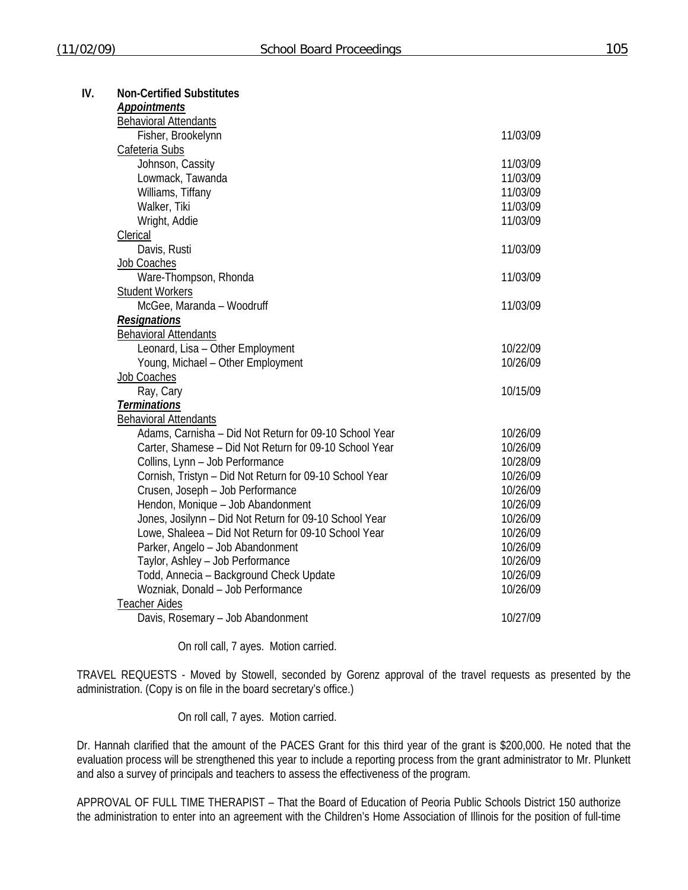| IV. | <b>Non-Certified Substitutes</b>                                                       |                      |
|-----|----------------------------------------------------------------------------------------|----------------------|
|     | <b>Appointments</b>                                                                    |                      |
|     | <b>Behavioral Attendants</b>                                                           |                      |
|     | Fisher, Brookelynn                                                                     | 11/03/09             |
|     | Cafeteria Subs                                                                         |                      |
|     | Johnson, Cassity<br>Lowmack, Tawanda                                                   | 11/03/09<br>11/03/09 |
|     | Williams, Tiffany                                                                      | 11/03/09             |
|     | Walker, Tiki                                                                           | 11/03/09             |
|     | Wright, Addie                                                                          | 11/03/09             |
|     | Clerical                                                                               |                      |
|     | Davis, Rusti                                                                           | 11/03/09             |
|     | Job Coaches                                                                            |                      |
|     | Ware-Thompson, Rhonda                                                                  | 11/03/09             |
|     | <b>Student Workers</b>                                                                 |                      |
|     | McGee, Maranda - Woodruff                                                              | 11/03/09             |
|     | <b>Resignations</b>                                                                    |                      |
|     | <b>Behavioral Attendants</b>                                                           |                      |
|     | Leonard, Lisa - Other Employment                                                       | 10/22/09             |
|     | Young, Michael - Other Employment                                                      | 10/26/09             |
|     | Job Coaches                                                                            |                      |
|     | Ray, Cary                                                                              | 10/15/09             |
|     | <b>Terminations</b>                                                                    |                      |
|     | <b>Behavioral Attendants</b><br>Adams, Carnisha - Did Not Return for 09-10 School Year | 10/26/09             |
|     | Carter, Shamese - Did Not Return for 09-10 School Year                                 | 10/26/09             |
|     | Collins, Lynn - Job Performance                                                        | 10/28/09             |
|     | Cornish, Tristyn - Did Not Return for 09-10 School Year                                | 10/26/09             |
|     | Crusen, Joseph - Job Performance                                                       | 10/26/09             |
|     | Hendon, Monique - Job Abandonment                                                      | 10/26/09             |
|     | Jones, Josilynn - Did Not Return for 09-10 School Year                                 | 10/26/09             |
|     | Lowe, Shaleea - Did Not Return for 09-10 School Year                                   | 10/26/09             |
|     | Parker, Angelo - Job Abandonment                                                       | 10/26/09             |
|     | Taylor, Ashley - Job Performance                                                       | 10/26/09             |
|     | Todd, Annecia - Background Check Update                                                | 10/26/09             |
|     | Wozniak, Donald - Job Performance                                                      | 10/26/09             |
|     | <b>Teacher Aides</b>                                                                   |                      |
|     | Davis, Rosemary - Job Abandonment                                                      | 10/27/09             |
|     |                                                                                        |                      |

On roll call, 7 ayes. Motion carried.

TRAVEL REQUESTS - Moved by Stowell, seconded by Gorenz approval of the travel requests as presented by the administration. (Copy is on file in the board secretary's office.)

On roll call, 7 ayes. Motion carried.

Dr. Hannah clarified that the amount of the PACES Grant for this third year of the grant is \$200,000. He noted that the evaluation process will be strengthened this year to include a reporting process from the grant administrator to Mr. Plunkett and also a survey of principals and teachers to assess the effectiveness of the program.

APPROVAL OF FULL TIME THERAPIST – That the Board of Education of Peoria Public Schools District 150 authorize the administration to enter into an agreement with the Children's Home Association of Illinois for the position of full-time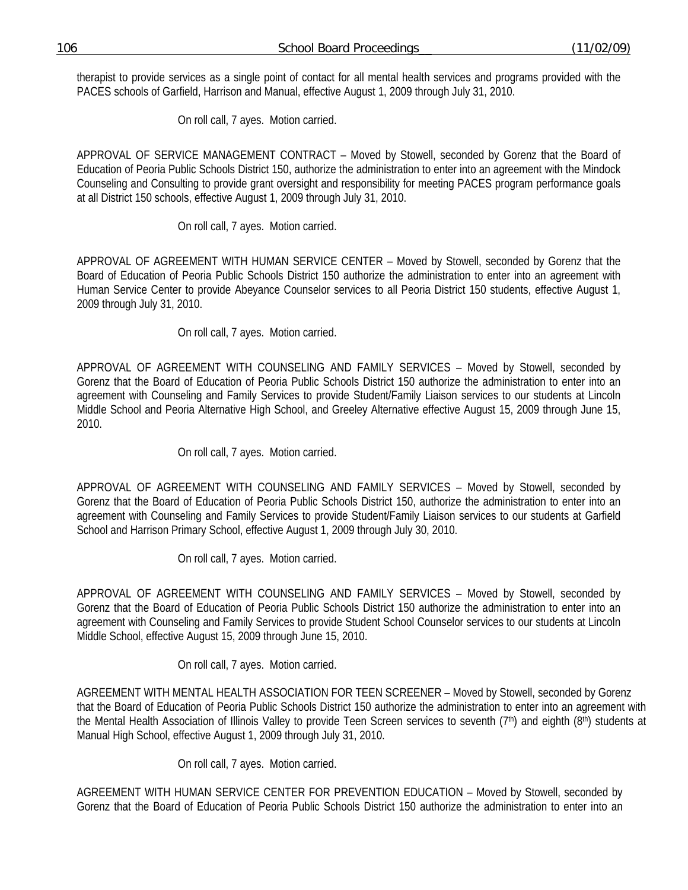therapist to provide services as a single point of contact for all mental health services and programs provided with the PACES schools of Garfield, Harrison and Manual, effective August 1, 2009 through July 31, 2010.

On roll call, 7 ayes. Motion carried.

APPROVAL OF SERVICE MANAGEMENT CONTRACT – Moved by Stowell, seconded by Gorenz that the Board of Education of Peoria Public Schools District 150, authorize the administration to enter into an agreement with the Mindock Counseling and Consulting to provide grant oversight and responsibility for meeting PACES program performance goals at all District 150 schools, effective August 1, 2009 through July 31, 2010.

# On roll call, 7 ayes. Motion carried.

APPROVAL OF AGREEMENT WITH HUMAN SERVICE CENTER – Moved by Stowell, seconded by Gorenz that the Board of Education of Peoria Public Schools District 150 authorize the administration to enter into an agreement with Human Service Center to provide Abeyance Counselor services to all Peoria District 150 students, effective August 1, 2009 through July 31, 2010.

On roll call, 7 ayes. Motion carried.

APPROVAL OF AGREEMENT WITH COUNSELING AND FAMILY SERVICES – Moved by Stowell, seconded by Gorenz that the Board of Education of Peoria Public Schools District 150 authorize the administration to enter into an agreement with Counseling and Family Services to provide Student/Family Liaison services to our students at Lincoln Middle School and Peoria Alternative High School, and Greeley Alternative effective August 15, 2009 through June 15, 2010.

# On roll call, 7 ayes. Motion carried.

APPROVAL OF AGREEMENT WITH COUNSELING AND FAMILY SERVICES – Moved by Stowell, seconded by Gorenz that the Board of Education of Peoria Public Schools District 150, authorize the administration to enter into an agreement with Counseling and Family Services to provide Student/Family Liaison services to our students at Garfield School and Harrison Primary School, effective August 1, 2009 through July 30, 2010.

On roll call, 7 ayes. Motion carried.

APPROVAL OF AGREEMENT WITH COUNSELING AND FAMILY SERVICES – Moved by Stowell, seconded by Gorenz that the Board of Education of Peoria Public Schools District 150 authorize the administration to enter into an agreement with Counseling and Family Services to provide Student School Counselor services to our students at Lincoln Middle School, effective August 15, 2009 through June 15, 2010.

# On roll call, 7 ayes. Motion carried.

AGREEMENT WITH MENTAL HEALTH ASSOCIATION FOR TEEN SCREENER – Moved by Stowell, seconded by Gorenz that the Board of Education of Peoria Public Schools District 150 authorize the administration to enter into an agreement with the Mental Health Association of Illinois Valley to provide Teen Screen services to seventh (7<sup>th</sup>) and eighth (8<sup>th</sup>) students at Manual High School, effective August 1, 2009 through July 31, 2010.

On roll call, 7 ayes. Motion carried.

AGREEMENT WITH HUMAN SERVICE CENTER FOR PREVENTION EDUCATION – Moved by Stowell, seconded by Gorenz that the Board of Education of Peoria Public Schools District 150 authorize the administration to enter into an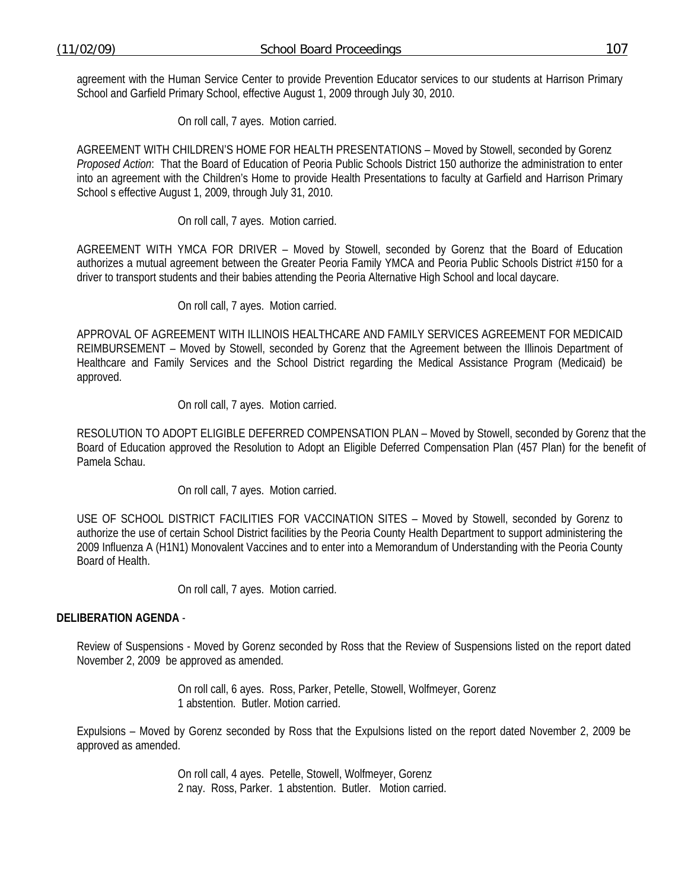agreement with the Human Service Center to provide Prevention Educator services to our students at Harrison Primary School and Garfield Primary School, effective August 1, 2009 through July 30, 2010.

On roll call, 7 ayes. Motion carried.

AGREEMENT WITH CHILDREN'S HOME FOR HEALTH PRESENTATIONS – Moved by Stowell, seconded by Gorenz *Proposed Action*: That the Board of Education of Peoria Public Schools District 150 authorize the administration to enter into an agreement with the Children's Home to provide Health Presentations to faculty at Garfield and Harrison Primary School s effective August 1, 2009, through July 31, 2010.

On roll call, 7 ayes. Motion carried.

AGREEMENT WITH YMCA FOR DRIVER – Moved by Stowell, seconded by Gorenz that the Board of Education authorizes a mutual agreement between the Greater Peoria Family YMCA and Peoria Public Schools District #150 for a driver to transport students and their babies attending the Peoria Alternative High School and local daycare.

On roll call, 7 ayes. Motion carried.

APPROVAL OF AGREEMENT WITH ILLINOIS HEALTHCARE AND FAMILY SERVICES AGREEMENT FOR MEDICAID REIMBURSEMENT – Moved by Stowell, seconded by Gorenz that the Agreement between the Illinois Department of Healthcare and Family Services and the School District regarding the Medical Assistance Program (Medicaid) be approved.

On roll call, 7 ayes. Motion carried.

RESOLUTION TO ADOPT ELIGIBLE DEFERRED COMPENSATION PLAN – Moved by Stowell, seconded by Gorenz that the Board of Education approved the Resolution to Adopt an Eligible Deferred Compensation Plan (457 Plan) for the benefit of Pamela Schau.

On roll call, 7 ayes. Motion carried.

USE OF SCHOOL DISTRICT FACILITIES FOR VACCINATION SITES – Moved by Stowell, seconded by Gorenz to authorize the use of certain School District facilities by the Peoria County Health Department to support administering the 2009 Influenza A (H1N1) Monovalent Vaccines and to enter into a Memorandum of Understanding with the Peoria County Board of Health.

On roll call, 7 ayes. Motion carried.

# **DELIBERATION AGENDA** -

Review of Suspensions - Moved by Gorenz seconded by Ross that the Review of Suspensions listed on the report dated November 2, 2009 be approved as amended.

> On roll call, 6 ayes. Ross, Parker, Petelle, Stowell, Wolfmeyer, Gorenz 1 abstention. Butler. Motion carried.

Expulsions – Moved by Gorenz seconded by Ross that the Expulsions listed on the report dated November 2, 2009 be approved as amended.

> On roll call, 4 ayes. Petelle, Stowell, Wolfmeyer, Gorenz 2 nay. Ross, Parker. 1 abstention. Butler. Motion carried.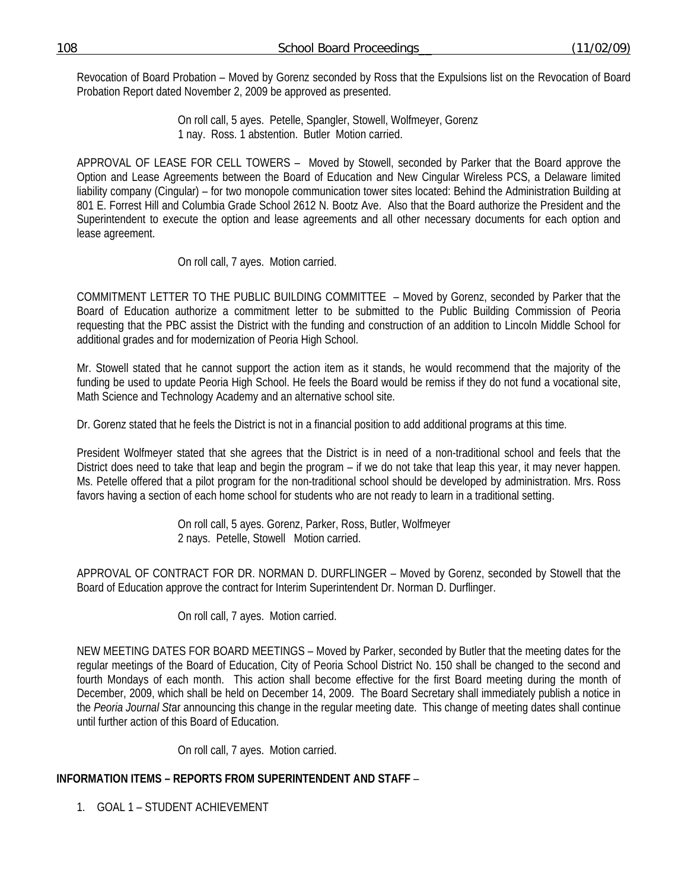Revocation of Board Probation – Moved by Gorenz seconded by Ross that the Expulsions list on the Revocation of Board Probation Report dated November 2, 2009 be approved as presented.

> On roll call, 5 ayes. Petelle, Spangler, Stowell, Wolfmeyer, Gorenz 1 nay. Ross. 1 abstention. Butler Motion carried.

APPROVAL OF LEASE FOR CELL TOWERS – Moved by Stowell, seconded by Parker that the Board approve the Option and Lease Agreements between the Board of Education and New Cingular Wireless PCS, a Delaware limited liability company (Cingular) – for two monopole communication tower sites located: Behind the Administration Building at 801 E. Forrest Hill and Columbia Grade School 2612 N. Bootz Ave. Also that the Board authorize the President and the Superintendent to execute the option and lease agreements and all other necessary documents for each option and lease agreement.

On roll call, 7 ayes. Motion carried.

COMMITMENT LETTER TO THE PUBLIC BUILDING COMMITTEE – Moved by Gorenz, seconded by Parker that the Board of Education authorize a commitment letter to be submitted to the Public Building Commission of Peoria requesting that the PBC assist the District with the funding and construction of an addition to Lincoln Middle School for additional grades and for modernization of Peoria High School.

Mr. Stowell stated that he cannot support the action item as it stands, he would recommend that the majority of the funding be used to update Peoria High School. He feels the Board would be remiss if they do not fund a vocational site, Math Science and Technology Academy and an alternative school site.

Dr. Gorenz stated that he feels the District is not in a financial position to add additional programs at this time.

President Wolfmeyer stated that she agrees that the District is in need of a non-traditional school and feels that the District does need to take that leap and begin the program – if we do not take that leap this year, it may never happen. Ms. Petelle offered that a pilot program for the non-traditional school should be developed by administration. Mrs. Ross favors having a section of each home school for students who are not ready to learn in a traditional setting.

> On roll call, 5 ayes. Gorenz, Parker, Ross, Butler, Wolfmeyer 2 nays. Petelle, Stowell Motion carried.

APPROVAL OF CONTRACT FOR DR. NORMAN D. DURFLINGER – Moved by Gorenz, seconded by Stowell that the Board of Education approve the contract for Interim Superintendent Dr. Norman D. Durflinger.

On roll call, 7 ayes. Motion carried.

NEW MEETING DATES FOR BOARD MEETINGS – Moved by Parker, seconded by Butler that the meeting dates for the regular meetings of the Board of Education, City of Peoria School District No. 150 shall be changed to the second and fourth Mondays of each month. This action shall become effective for the first Board meeting during the month of December, 2009, which shall be held on December 14, 2009. The Board Secretary shall immediately publish a notice in the *Peoria Journal St*ar announcing this change in the regular meeting date. This change of meeting dates shall continue until further action of this Board of Education.

On roll call, 7 ayes. Motion carried.

# **INFORMATION ITEMS – REPORTS FROM SUPERINTENDENT AND STAFF** –

1. GOAL 1 – STUDENT ACHIEVEMENT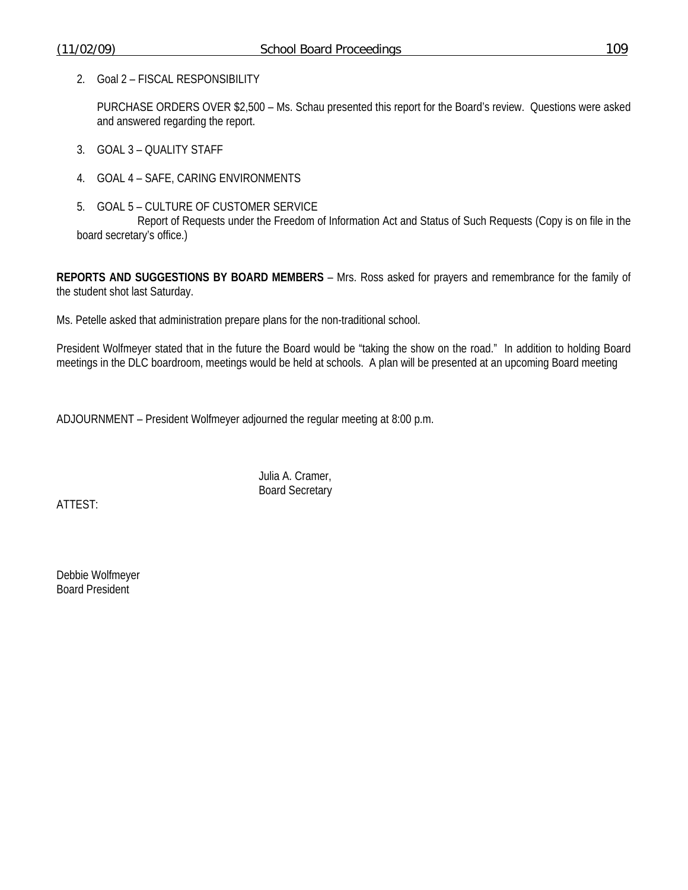2. Goal 2 – FISCAL RESPONSIBILITY

 PURCHASE ORDERS OVER \$2,500 – Ms. Schau presented this report for the Board's review. Questions were asked and answered regarding the report.

- 3. GOAL 3 QUALITY STAFF
- 4. GOAL 4 SAFE, CARING ENVIRONMENTS
- 5. GOAL 5 CULTURE OF CUSTOMER SERVICE

 Report of Requests under the Freedom of Information Act and Status of Such Requests (Copy is on file in the board secretary's office.)

**REPORTS AND SUGGESTIONS BY BOARD MEMBERS** – Mrs. Ross asked for prayers and remembrance for the family of the student shot last Saturday.

Ms. Petelle asked that administration prepare plans for the non-traditional school.

President Wolfmeyer stated that in the future the Board would be "taking the show on the road." In addition to holding Board meetings in the DLC boardroom, meetings would be held at schools. A plan will be presented at an upcoming Board meeting

ADJOURNMENT – President Wolfmeyer adjourned the regular meeting at 8:00 p.m.

 Julia A. Cramer, Board Secretary

ATTEST:

Debbie Wolfmeyer Board President